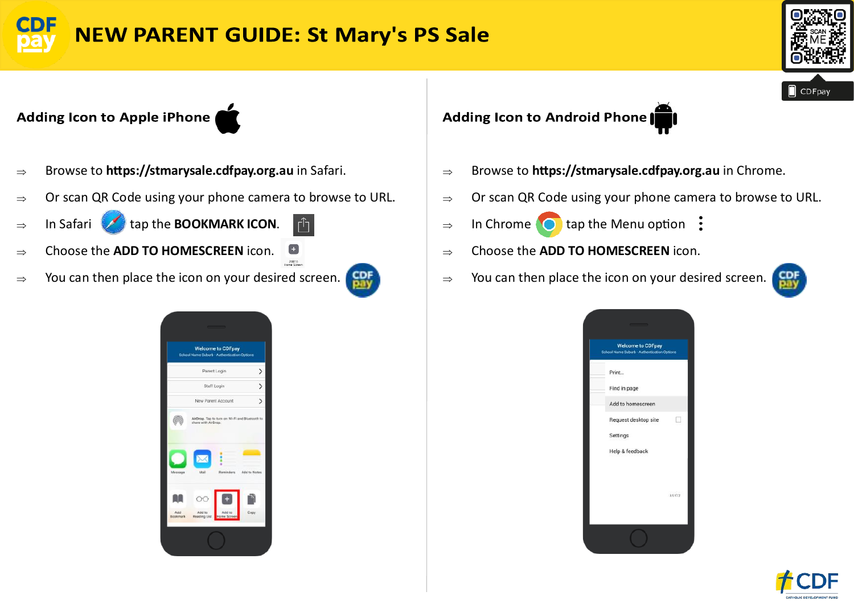

ाी

Œ

 $\Box$  CDFpay

Adding Icon to Apple iPhone



- Browse to **https://stmarysale.cdfpay.org.au** in Safari.
- $\Rightarrow$  Or scan QR Code using your phone camera to browse to URL.
- ⇒ In Safari **V** tap the **BOOKMARK ICON**.
- Choose the **ADD TO HOMESCREEN** icon.
- $\Rightarrow$  You can then place the icon on your desired screen.



Adding Icon to Android Phone



- ⇒ Browse to **https://stmarysale.cdfpay.org.au** in Chrome.
- $\Rightarrow$  Or scan QR Code using your phone camera to browse to URL.
- $\Rightarrow$  In Chrome  $\bullet$  tap the Menu option:
- Choose the **ADD TO HOMESCREEN** icon.
- $\Rightarrow$  You can then place the icon on your desired screen.







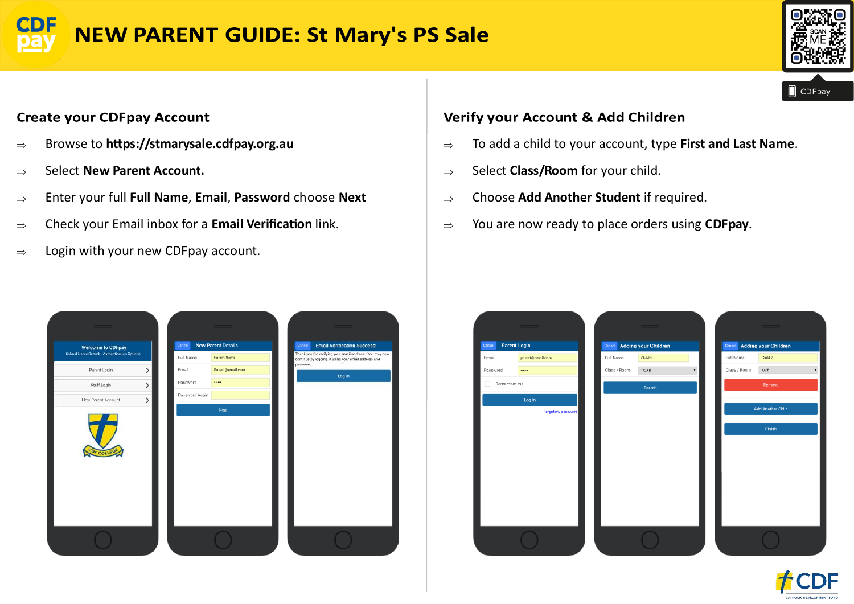



#### **Create your CDFpay Account**

- Browse to **https://stmarysale.cdfpay.org.au**
- ⇒ Select **New Parent Account.**
- Enter your full **Full Name**, **Email**, **Password** choose **Next**
- Check your Email inbox for a **Email Verification** link.
- $\Rightarrow$  Login with your new CDF pay account.

## Verify your Account & Add Children

- To add a child to your account, type **First and Last Name**.
- ⇒ Select **Class/Room** for your child.
- Choose **Add Another Student** if required.
- You are now ready to place orders using **CDFpay**.

| $\overline{\phantom{a}}$                    |               |                                     | $\overline{\phantom{a}}$ |  | $\overline{\phantom{a}}$                                                                                                    |
|---------------------------------------------|---------------|-------------------------------------|--------------------------|--|-----------------------------------------------------------------------------------------------------------------------------|
| <b>Welcome to CDFpay</b>                    |               | <b>New Parent Details</b><br>Cancel |                          |  | <b>Email Verification Success!</b><br>Cancel                                                                                |
| School Name Suburb - Authentication Options |               | Full Name                           | Parent Name              |  | Thank you for verifying your email address. You may now<br>continue by logging in using your email address and<br>password. |
| Parent Login                                | $\rightarrow$ | Email                               | Parent@email.com         |  | Log In                                                                                                                      |
| Staff Login                                 | $\mathcal{P}$ | Password                            |                          |  |                                                                                                                             |
| New Parent Account                          | $\mathcal{P}$ | Password Again                      |                          |  |                                                                                                                             |
| COLLEG                                      |               |                                     |                          |  |                                                                                                                             |
|                                             |               |                                     |                          |  |                                                                                                                             |



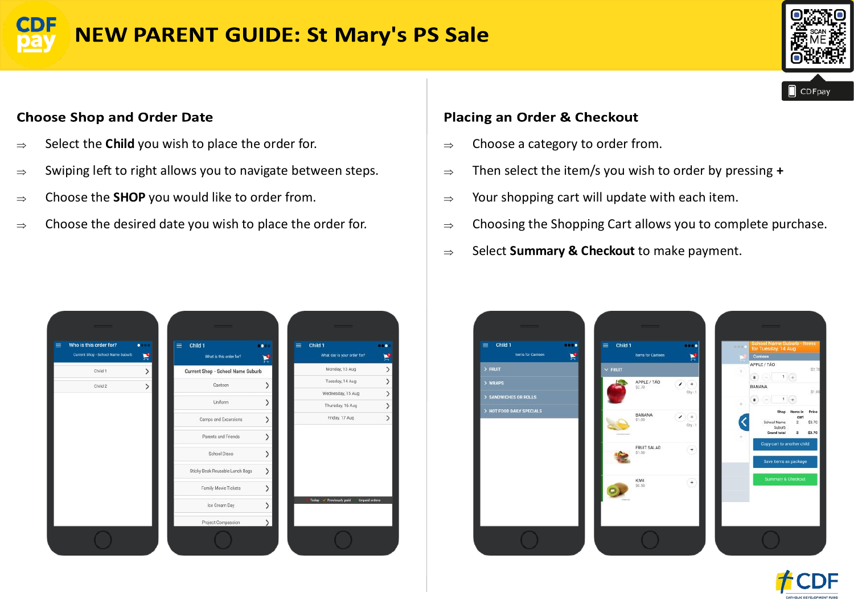



#### **Choose Shop and Order Date**

- $\Rightarrow$  Select the **Child** you wish to place the order for.
- $\Rightarrow$  Swiping left to right allows you to navigate between steps.
- $\Rightarrow$  Choose the **SHOP** you would like to order from.
- $\Rightarrow$  Choose the desired date you wish to place the order for.

### **Placing an Order & Checkout**

- $\Rightarrow$  Choose a category to order from.
- Then select the item/s you wish to order by pressing **+**
- $\Rightarrow$  Your shopping cart will update with each item.
- $\Rightarrow$  Choosing the Shopping Cart allows you to complete purchase.
- $\Rightarrow$  Select **Summary & Checkout** to make payment.





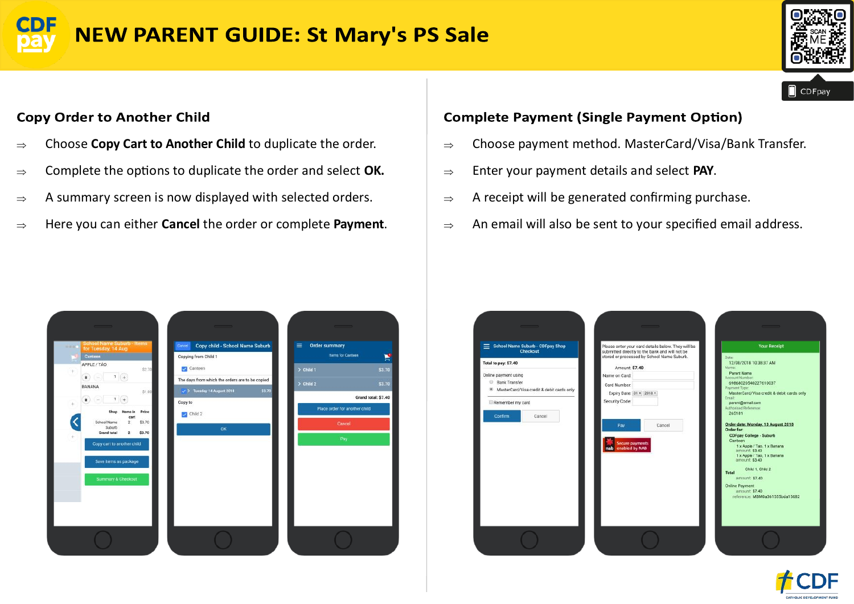



#### **Copy Order to Another Child**

- Choose **Copy Cart to Another Child** to duplicate the order.
- $\Rightarrow$  Complete the options to duplicate the order and select **OK.**
- $\Rightarrow$  A summary screen is now displayed with selected orders.
- $\Rightarrow$  Here you can either **Cancel** the order or complete **Payment**.

# **Complete Payment (Single Payment Option)**

- $\Rightarrow$  Choose payment method. MasterCard/Visa/Bank Transfer.
- $\Rightarrow$  Enter your payment details and select **PAY**.
- $\Rightarrow$  A receipt will be generated confirming purchase.
- $\Rightarrow$  An email will also be sent to your specified email address.



| stored or processed by School Name Suburb.<br>Amount: \$7.40<br>Name on Card:<br>Card Number: | Date:<br>12/08/2018 10:38:37 AM<br>Name:<br>Parent Name                                                                                                                                                                                                                                                                                                                                                                                                                                                      |
|-----------------------------------------------------------------------------------------------|--------------------------------------------------------------------------------------------------------------------------------------------------------------------------------------------------------------------------------------------------------------------------------------------------------------------------------------------------------------------------------------------------------------------------------------------------------------------------------------------------------------|
| Expiry Date: 01 v 2018 +<br>Security Code:<br>Pay<br>Cancel<br><b>Secure payments</b>         | Account Number:<br>69868020540227610037<br>Payment Type:<br>MasterCard/Visa credit & debit cards only<br>Ernail<br>parent@email.com<br>Authorised Reference:<br>265181<br>Order date: Monday, 13 August 2018<br>Order for:<br><b>CDFpay College - Suburb</b><br>Canteen<br>1 x Apple / Tao, 1 x Banana<br>amount: \$3.40<br>1 x Apple / Tao, 1 x Banana<br>amount: \$3.40<br>Child 1, Child 2<br><b>Total</b><br>amount: \$7.40<br><b>Online Payment</b><br>amount: \$7.40<br>reference: MBM0a361555bda15682 |
|                                                                                               | nab enabled by NAB                                                                                                                                                                                                                                                                                                                                                                                                                                                                                           |